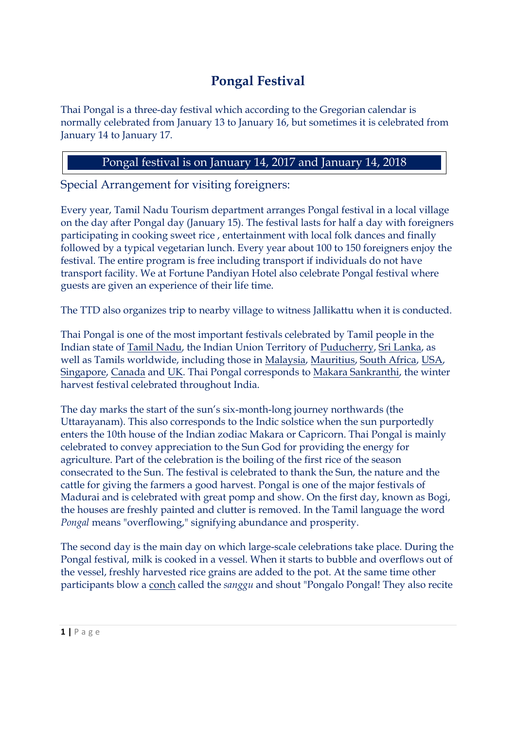## **Pongal Festival**

Thai Pongal is a three-day festival which according to the Gregorian calendar is normally celebrated from January 13 to January 16, but sometimes it is celebrated from January 14 to January 17.

## Pongal festival is on January 14, 2017 and January 14, 2018

Special Arrangement for visiting foreigners:

Every year, Tamil Nadu Tourism department arranges Pongal festival in a local village on the day after Pongal day (January 15). The festival lasts for half a day with foreigners participating in cooking sweet rice , entertainment with local folk dances and finally followed by a typical vegetarian lunch. Every year about 100 to 150 foreigners enjoy the festival. The entire program is free including transport if individuals do not have transport facility. We at Fortune Pandiyan Hotel also celebrate Pongal festival where guests are given an experience of their life time.

The TTD also organizes trip to nearby village to witness Jallikattu when it is conducted.

Thai Pongal is one of the most important festivals celebrated by Tamil people in the Indian state of Tamil Nadu, the Indian Union Territory of Puducherry, Sri Lanka, as well as Tamils worldwide, including those in Malaysia, Mauritius, South Africa, USA, Singapore, Canada and UK. Thai Pongal corresponds to Makara Sankranthi, the winter harvest festival celebrated throughout India.

The day marks the start of the sun's six-month-long journey northwards (the Uttarayanam). This also corresponds to the Indic solstice when the sun purportedly enters the 10th house of the Indian zodiac Makara or Capricorn. Thai Pongal is mainly celebrated to convey appreciation to the Sun God for providing the energy for agriculture. Part of the celebration is the boiling of the first rice of the season consecrated to the Sun. The festival is celebrated to thank the Sun, the nature and the cattle for giving the farmers a good harvest. Pongal is one of the major festivals of Madurai and is celebrated with great pomp and show. On the first day, known as Bogi, the houses are freshly painted and clutter is removed. In the Tamil language the word *Pongal* means "overflowing," signifying abundance and prosperity.

**1 P** a g e The second day is the main day on which large-scale celebrations take place. During the Pongal festival, milk is cooked in a vessel. When it starts to bubble and overflows out of the vessel, freshly harvested rice grains are added to the pot. At the same time other